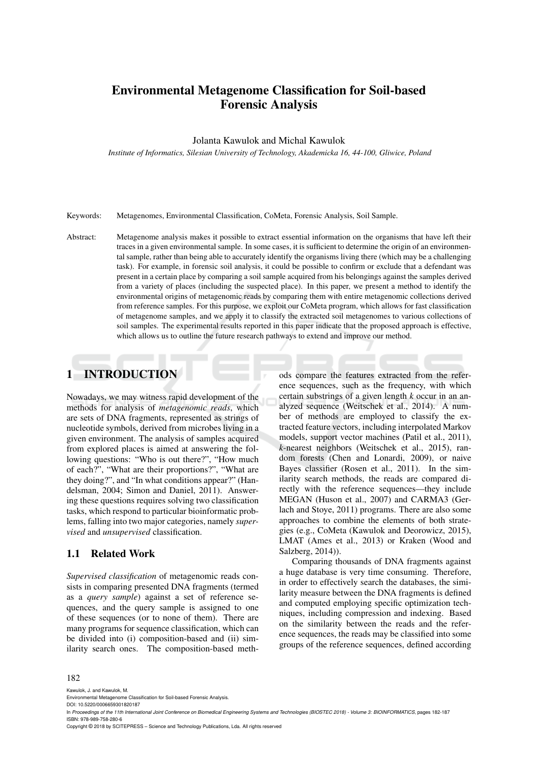# Environmental Metagenome Classification for Soil-based Forensic Analysis

#### Jolanta Kawulok and Michal Kawulok

*Institute of Informatics, Silesian University of Technology, Akademicka 16, 44-100, Gliwice, Poland*

Keywords: Metagenomes, Environmental Classification, CoMeta, Forensic Analysis, Soil Sample.

Abstract: Metagenome analysis makes it possible to extract essential information on the organisms that have left their traces in a given environmental sample. In some cases, it is sufficient to determine the origin of an environmental sample, rather than being able to accurately identify the organisms living there (which may be a challenging task). For example, in forensic soil analysis, it could be possible to confirm or exclude that a defendant was present in a certain place by comparing a soil sample acquired from his belongings against the samples derived from a variety of places (including the suspected place). In this paper, we present a method to identify the environmental origins of metagenomic reads by comparing them with entire metagenomic collections derived from reference samples. For this purpose, we exploit our CoMeta program, which allows for fast classification of metagenome samples, and we apply it to classify the extracted soil metagenomes to various collections of soil samples. The experimental results reported in this paper indicate that the proposed approach is effective, which allows us to outline the future research pathways to extend and improve our method.

## 1 INTRODUCTION

Nowadays, we may witness rapid development of the methods for analysis of *metagenomic reads*, which are sets of DNA fragments, represented as strings of nucleotide symbols, derived from microbes living in a given environment. The analysis of samples acquired from explored places is aimed at answering the following questions: "Who is out there?", "How much of each?", "What are their proportions?", "What are they doing?", and "In what conditions appear?" (Handelsman, 2004; Simon and Daniel, 2011). Answering these questions requires solving two classification tasks, which respond to particular bioinformatic problems, falling into two major categories, namely *supervised* and *unsupervised* classification.

#### 1.1 Related Work

*Supervised classification* of metagenomic reads consists in comparing presented DNA fragments (termed as a *query sample*) against a set of reference sequences, and the query sample is assigned to one of these sequences (or to none of them). There are many programs for sequence classification, which can be divided into (i) composition-based and (ii) similarity search ones. The composition-based methods compare the features extracted from the reference sequences, such as the frequency, with which certain substrings of a given length *k* occur in an analyzed sequence (Weitschek et al., 2014). A number of methods are employed to classify the extracted feature vectors, including interpolated Markov models, support vector machines (Patil et al., 2011), *k*-nearest neighbors (Weitschek et al., 2015), random forests (Chen and Lonardi, 2009), or naive Bayes classifier (Rosen et al., 2011). In the similarity search methods, the reads are compared directly with the reference sequences—they include MEGAN (Huson et al., 2007) and CARMA3 (Gerlach and Stoye, 2011) programs. There are also some approaches to combine the elements of both strategies (e.g., CoMeta (Kawulok and Deorowicz, 2015), LMAT (Ames et al., 2013) or Kraken (Wood and Salzberg, 2014)).

Comparing thousands of DNA fragments against a huge database is very time consuming. Therefore, in order to effectively search the databases, the similarity measure between the DNA fragments is defined and computed employing specific optimization techniques, including compression and indexing. Based on the similarity between the reads and the reference sequences, the reads may be classified into some groups of the reference sequences, defined according

#### 182

Kawulok, J. and Kawulok, M.

DOI: 10.5220/0006659301820187

Copyright © 2018 by SCITEPRESS – Science and Technology Publications, Lda. All rights reserved

Environmental Metagenome Classification for Soil-based Forensic Analysis.

In Proceedings of the 11th International Joint Conference on Biomedical Engineering Systems and Technologies (BIOSTEC 2018) - Volume 3: BIOINFORMATICS, pages 182-187 ISBN: 978-989-758-280-6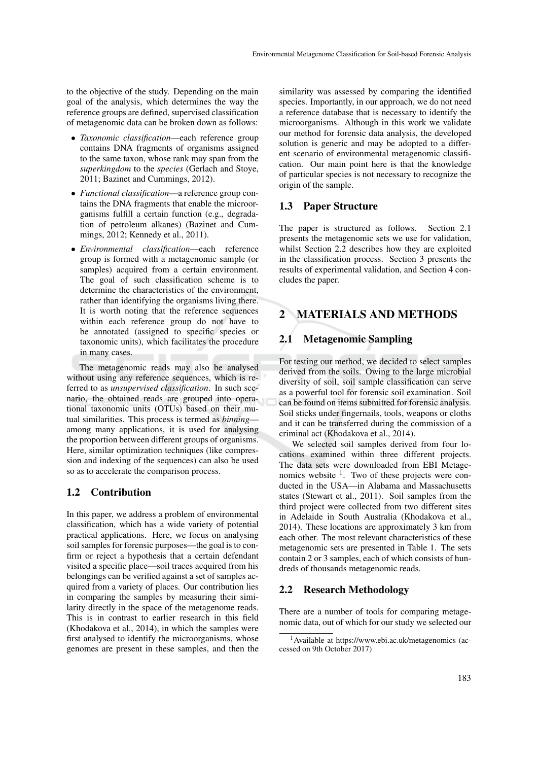to the objective of the study. Depending on the main goal of the analysis, which determines the way the reference groups are defined, supervised classification of metagenomic data can be broken down as follows:

- *Taxonomic classification*—each reference group contains DNA fragments of organisms assigned to the same taxon, whose rank may span from the *superkingdom* to the *species* (Gerlach and Stoye, 2011; Bazinet and Cummings, 2012).
- *Functional classification*—a reference group contains the DNA fragments that enable the microorganisms fulfill a certain function (e.g., degradation of petroleum alkanes) (Bazinet and Cummings, 2012; Kennedy et al., 2011).
- *Environmental classification*—each reference group is formed with a metagenomic sample (or samples) acquired from a certain environment. The goal of such classification scheme is to determine the characteristics of the environment, rather than identifying the organisms living there. It is worth noting that the reference sequences within each reference group do not have to be annotated (assigned to specific species or taxonomic units), which facilitates the procedure in many cases.

The metagenomic reads may also be analysed without using any reference sequences, which is referred to as *unsupervised classification*. In such scenario, the obtained reads are grouped into operational taxonomic units (OTUs) based on their mutual similarities. This process is termed as *binning* among many applications, it is used for analysing the proportion between different groups of organisms. Here, similar optimization techniques (like compression and indexing of the sequences) can also be used so as to accelerate the comparison process.

### 1.2 Contribution

In this paper, we address a problem of environmental classification, which has a wide variety of potential practical applications. Here, we focus on analysing soil samples for forensic purposes—the goal is to confirm or reject a hypothesis that a certain defendant visited a specific place—soil traces acquired from his belongings can be verified against a set of samples acquired from a variety of places. Our contribution lies in comparing the samples by measuring their similarity directly in the space of the metagenome reads. This is in contrast to earlier research in this field (Khodakova et al., 2014), in which the samples were first analysed to identify the microorganisms, whose genomes are present in these samples, and then the

similarity was assessed by comparing the identified species. Importantly, in our approach, we do not need a reference database that is necessary to identify the microorganisms. Although in this work we validate our method for forensic data analysis, the developed solution is generic and may be adopted to a different scenario of environmental metagenomic classification. Our main point here is that the knowledge of particular species is not necessary to recognize the origin of the sample.

### 1.3 Paper Structure

The paper is structured as follows. Section 2.1 presents the metagenomic sets we use for validation, whilst Section 2.2 describes how they are exploited in the classification process. Section 3 presents the results of experimental validation, and Section 4 concludes the paper.

## 2 MATERIALS AND METHODS

### 2.1 Metagenomic Sampling

For testing our method, we decided to select samples derived from the soils. Owing to the large microbial diversity of soil, soil sample classification can serve as a powerful tool for forensic soil examination. Soil can be found on items submitted for forensic analysis. Soil sticks under fingernails, tools, weapons or cloths and it can be transferred during the commission of a criminal act (Khodakova et al., 2014).

We selected soil samples derived from four locations examined within three different projects. The data sets were downloaded from EBI Metagenomics website  $\frac{1}{1}$ . Two of these projects were conducted in the USA—in Alabama and Massachusetts states (Stewart et al., 2011). Soil samples from the third project were collected from two different sites in Adelaide in South Australia (Khodakova et al., 2014). These locations are approximately 3 km from each other. The most relevant characteristics of these metagenomic sets are presented in Table 1. The sets contain 2 or 3 samples, each of which consists of hundreds of thousands metagenomic reads.

#### 2.2 Research Methodology

There are a number of tools for comparing metagenomic data, out of which for our study we selected our

<sup>1</sup>Available at https://www.ebi.ac.uk/metagenomics (accessed on 9th October 2017)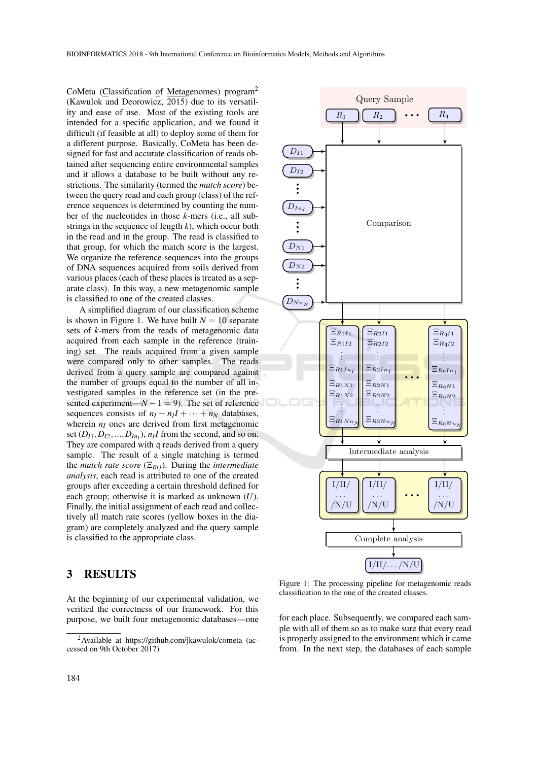CoMeta (Classification of Metagenomes) program<sup>2</sup> (Kawulok and Deorowicz, 2015) due to its versatility and ease of use. Most of the existing tools are intended for a specific application, and we found it difficult (if feasible at all) to deploy some of them for a different purpose. Basically, CoMeta has been designed for fast and accurate classification of reads obtained after sequencing entire environmental samples and it allows a database to be built without any restrictions. The similarity (termed the *match score*) between the query read and each group (class) of the reference sequences is determined by counting the number of the nucleotides in those *k*-mers (i.e., all substrings in the sequence of length  $k$ ), which occur both in the read and in the group. The read is classified to that group, for which the match score is the largest. We organize the reference sequences into the groups of DNA sequences acquired from soils derived from various places (each of these places is treated as a separate class). In this way, a new metagenomic sample is classified to one of the created classes.

A simplified diagram of our classification scheme is shown in Figure 1. We have built  $N = 10$  separate sets of *k*-mers from the reads of metagenomic data acquired from each sample in the reference (training) set. The reads acquired from a given sample were compared only to other samples. The reads derived from a query sample are compared against the number of groups equal to the number of all investigated samples in the reference set (in the presented experiment— $N - 1 = 9$ ). The set of reference sequences consists of  $n_I + n_I I + \cdots + n_N$  databases. wherein  $n<sub>I</sub>$  ones are derived from first metagenomic set  $(D_{I1}, D_{I2},..., D_{In_I}), n_I I$  from the second, and so on. They are compared with q reads derived from a query sample. The result of a single matching is termed the *match rate score* ( $\Xi_{Rij}$ ). During the *intermediate analysis*, each read is attributed to one of the created groups after exceeding a certain threshold defined for each group; otherwise it is marked as unknown (*U*). Finally, the initial assignment of each read and collectively all match rate scores (yellow boxes in the diagram) are completely analyzed and the query sample is classified to the appropriate class.

### 3 RESULTS

At the beginning of our experimental validation, we verified the correctness of our framework. For this purpose, we built four metagenomic databases—one



Figure 1: The processing pipeline for metagenomic reads classification to the one of the created classes.

for each place. Subsequently, we compared each sample with all of them so as to make sure that every read is properly assigned to the environment which it came from. In the next step, the databases of each sample

<sup>2</sup>Available at https://github.com/jkawulok/cometa (accessed on 9th October 2017)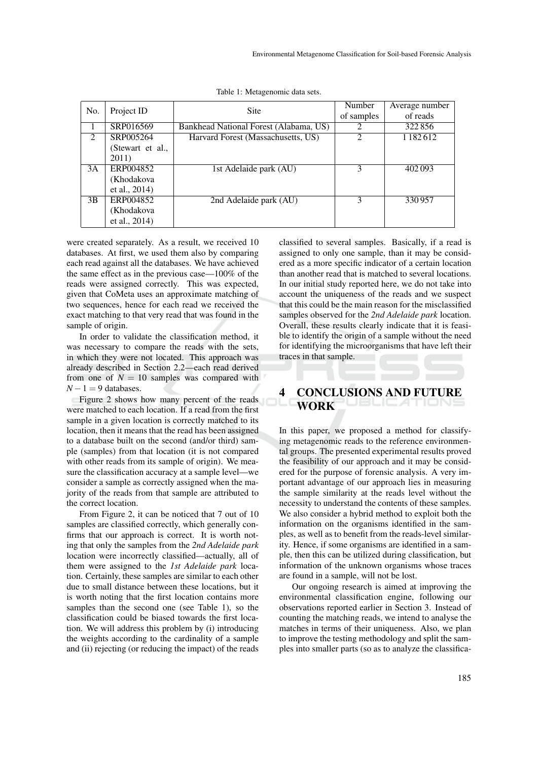| No.            | Project ID       | <b>Site</b>                            | Number                      | Average number |
|----------------|------------------|----------------------------------------|-----------------------------|----------------|
|                |                  |                                        | of samples                  | of reads       |
|                | SRP016569        | Bankhead National Forest (Alabama, US) | 2                           | 322856         |
| $\mathfrak{D}$ | SRP005264        | Harvard Forest (Massachusetts, US)     | $\mathcal{D}_{\mathcal{L}}$ | 1 1 8 2 6 1 2  |
|                | (Stewart et al., |                                        |                             |                |
|                | 2011)            |                                        |                             |                |
| 3A             | ERP004852        | 1st Adelaide park (AU)                 | 3                           | 402093         |
|                | (Khodakova       |                                        |                             |                |
|                | et al., 2014)    |                                        |                             |                |
| 3B             | ERP004852        | 2nd Adelaide park (AU)                 | 3                           | 330957         |
|                | (Khodakova       |                                        |                             |                |
|                | et al., 2014)    |                                        |                             |                |

Table 1: Metagenomic data sets.

were created separately. As a result, we received 10 databases. At first, we used them also by comparing each read against all the databases. We have achieved the same effect as in the previous case—100% of the reads were assigned correctly. This was expected, given that CoMeta uses an approximate matching of two sequences, hence for each read we received the exact matching to that very read that was found in the sample of origin.

In order to validate the classification method, it was necessary to compare the reads with the sets, in which they were not located. This approach was already described in Section 2.2—each read derived from one of  $N = 10$  samples was compared with  $N - 1 = 9$  databases.

Figure 2 shows how many percent of the reads were matched to each location. If a read from the first sample in a given location is correctly matched to its location, then it means that the read has been assigned to a database built on the second (and/or third) sample (samples) from that location (it is not compared with other reads from its sample of origin). We measure the classification accuracy at a sample level—we consider a sample as correctly assigned when the majority of the reads from that sample are attributed to the correct location.

From Figure 2, it can be noticed that 7 out of 10 samples are classified correctly, which generally confirms that our approach is correct. It is worth noting that only the samples from the *2nd Adelaide park* location were incorrectly classified—actually, all of them were assigned to the *1st Adelaide park* location. Certainly, these samples are similar to each other due to small distance between these locations, but it is worth noting that the first location contains more samples than the second one (see Table 1), so the classification could be biased towards the first location. We will address this problem by (i) introducing the weights according to the cardinality of a sample and (ii) rejecting (or reducing the impact) of the reads

classified to several samples. Basically, if a read is assigned to only one sample, than it may be considered as a more specific indicator of a certain location than another read that is matched to several locations. In our initial study reported here, we do not take into account the uniqueness of the reads and we suspect that this could be the main reason for the misclassified samples observed for the *2nd Adelaide park* location. Overall, these results clearly indicate that it is feasible to identify the origin of a sample without the need for identifying the microorganisms that have left their traces in that sample.

## 4 CONCLUSIONS AND FUTURE **WORK**

In this paper, we proposed a method for classifying metagenomic reads to the reference environmental groups. The presented experimental results proved the feasibility of our approach and it may be considered for the purpose of forensic analysis. A very important advantage of our approach lies in measuring the sample similarity at the reads level without the necessity to understand the contents of these samples. We also consider a hybrid method to exploit both the information on the organisms identified in the samples, as well as to benefit from the reads-level similarity. Hence, if some organisms are identified in a sample, then this can be utilized during classification, but information of the unknown organisms whose traces are found in a sample, will not be lost.

Our ongoing research is aimed at improving the environmental classification engine, following our observations reported earlier in Section 3. Instead of counting the matching reads, we intend to analyse the matches in terms of their uniqueness. Also, we plan to improve the testing methodology and split the samples into smaller parts (so as to analyze the classifica-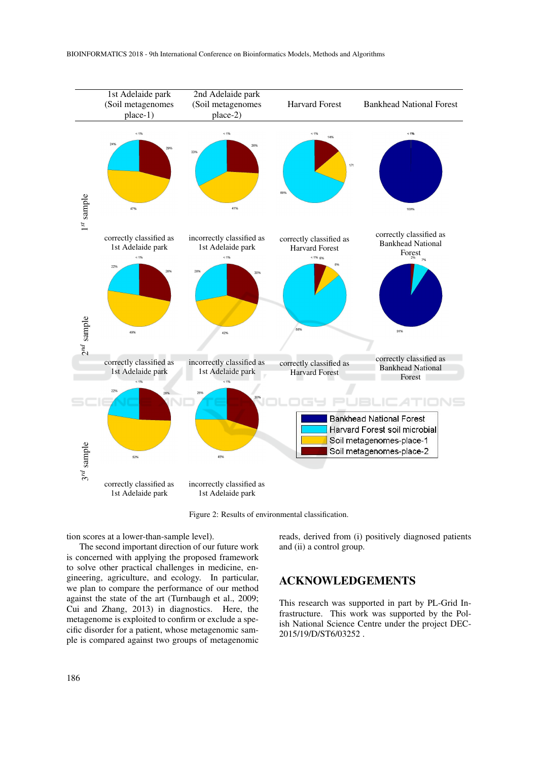

BIOINFORMATICS 2018 - 9th International Conference on Bioinformatics Models, Methods and Algorithms



Figure 2: Results of environmental classification.

tion scores at a lower-than-sample level).

The second important direction of our future work is concerned with applying the proposed framework to solve other practical challenges in medicine, engineering, agriculture, and ecology. In particular, we plan to compare the performance of our method against the state of the art (Turnbaugh et al., 2009; Cui and Zhang, 2013) in diagnostics. Here, the metagenome is exploited to confirm or exclude a specific disorder for a patient, whose metagenomic sample is compared against two groups of metagenomic reads, derived from (i) positively diagnosed patients and (ii) a control group.

## ACKNOWLEDGEMENTS

This research was supported in part by PL-Grid Infrastructure. This work was supported by the Polish National Science Centre under the project DEC-2015/19/D/ST6/03252 .